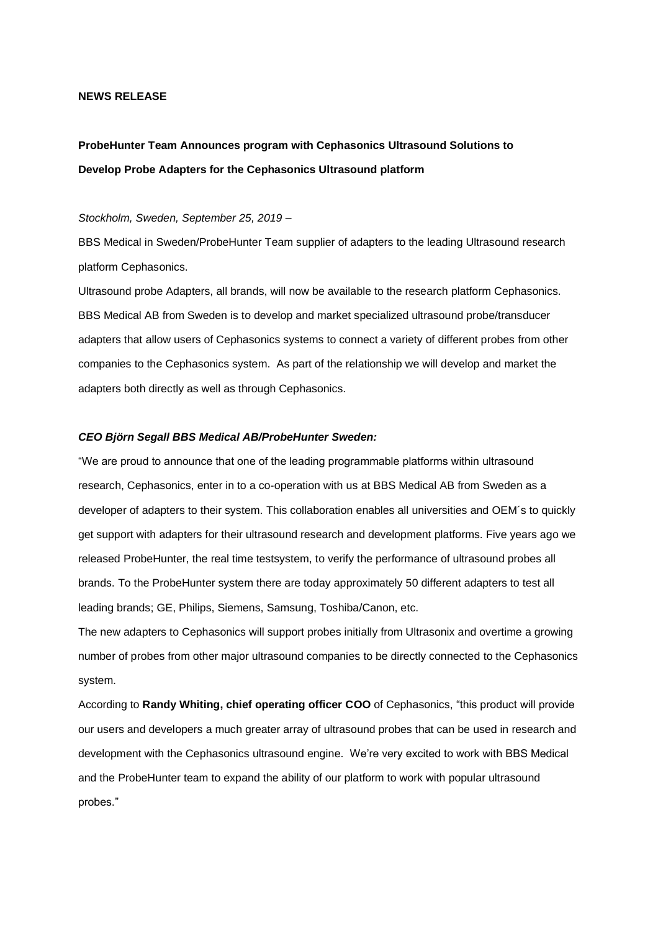## **NEWS RELEASE**

# **ProbeHunter Team Announces program with Cephasonics Ultrasound Solutions to Develop Probe Adapters for the Cephasonics Ultrasound platform**

## *Stockholm, Sweden, September 25, 2019 –*

BBS Medical in Sweden/ProbeHunter Team supplier of adapters to the leading Ultrasound research platform Cephasonics.

Ultrasound probe Adapters, all brands, will now be available to the research platform Cephasonics. BBS Medical AB from Sweden is to develop and market specialized ultrasound probe/transducer adapters that allow users of Cephasonics systems to connect a variety of different probes from other companies to the Cephasonics system. As part of the relationship we will develop and market the adapters both directly as well as through Cephasonics.

#### *CEO Björn Segall BBS Medical AB/ProbeHunter Sweden:*

"We are proud to announce that one of the leading programmable platforms within ultrasound research, Cephasonics, enter in to a co-operation with us at BBS Medical AB from Sweden as a developer of adapters to their system. This collaboration enables all universities and OEM´s to quickly get support with adapters for their ultrasound research and development platforms. Five years ago we released ProbeHunter, the real time testsystem, to verify the performance of ultrasound probes all brands. To the ProbeHunter system there are today approximately 50 different adapters to test all leading brands; GE, Philips, Siemens, Samsung, Toshiba/Canon, etc.

The new adapters to Cephasonics will support probes initially from Ultrasonix and overtime a growing number of probes from other major ultrasound companies to be directly connected to the Cephasonics system.

According to **Randy Whiting, chief operating officer COO** of Cephasonics, "this product will provide our users and developers a much greater array of ultrasound probes that can be used in research and development with the Cephasonics ultrasound engine. We're very excited to work with BBS Medical and the ProbeHunter team to expand the ability of our platform to work with popular ultrasound probes."